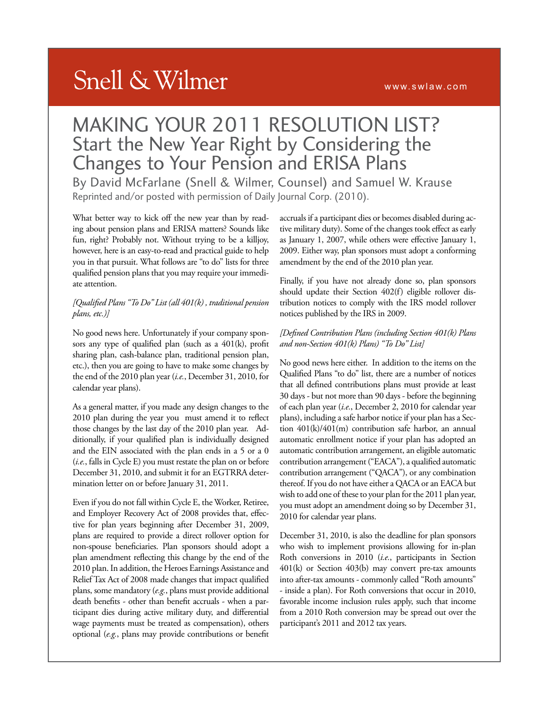#### www.swlaw.com

# **Snell & Wilmer**

## MAKING YOUR 2011 RESOLUTION LIST? Start the New Year Right by Considering the Changes to Your Pension and ERISA Plans

By David McFarlane (Snell & Wilmer, Counsel) and Samuel W. Krause Reprinted and/or posted with permission of Daily Journal Corp. (2010).

What better way to kick off the new year than by reading about pension plans and ERISA matters? Sounds like fun, right? Probably not. Without trying to be a killjoy, however, here is an easy-to-read and practical guide to help you in that pursuit. What follows are "to do" lists for three qualified pension plans that you may require your immediate attention.

#### *[Qualified Plans "To Do" List (all 401(k) , traditional pension plans, etc.)]*

No good news here. Unfortunately if your company sponsors any type of qualified plan (such as a 401(k), profit sharing plan, cash-balance plan, traditional pension plan, etc.), then you are going to have to make some changes by the end of the 2010 plan year (*i.e.*, December 31, 2010, for calendar year plans).

As a general matter, if you made any design changes to the 2010 plan during the year you must amend it to reflect those changes by the last day of the 2010 plan year. Additionally, if your qualified plan is individually designed and the EIN associated with the plan ends in a 5 or a 0 (*i.e.*, falls in Cycle E) you must restate the plan on or before December 31, 2010, and submit it for an EGTRRA determination letter on or before January 31, 2011.

Even if you do not fall within Cycle E, the Worker, Retiree, and Employer Recovery Act of 2008 provides that, effective for plan years beginning after December 31, 2009, plans are required to provide a direct rollover option for non-spouse beneficiaries. Plan sponsors should adopt a plan amendment reflecting this change by the end of the 2010 plan. In addition, the Heroes Earnings Assistance and Relief Tax Act of 2008 made changes that impact qualified plans, some mandatory (*e.g.*, plans must provide additional death benefits - other than benefit accruals - when a participant dies during active military duty, and differential wage payments must be treated as compensation), others optional (*e.g.*, plans may provide contributions or benefit accruals if a participant dies or becomes disabled during active military duty). Some of the changes took effect as early as January 1, 2007, while others were effective January 1, 2009. Either way, plan sponsors must adopt a conforming amendment by the end of the 2010 plan year.

Finally, if you have not already done so, plan sponsors should update their Section 402(f) eligible rollover distribution notices to comply with the IRS model rollover notices published by the IRS in 2009.

#### *[Defined Contribution Plans (including Section 401(k) Plans and non-Section 401(k) Plans) "To Do" List]*

No good news here either. In addition to the items on the Qualified Plans "to do" list, there are a number of notices that all defined contributions plans must provide at least 30 days - but not more than 90 days - before the beginning of each plan year (*i.e.*, December 2, 2010 for calendar year plans), including a safe harbor notice if your plan has a Section 401(k)/401(m) contribution safe harbor, an annual automatic enrollment notice if your plan has adopted an automatic contribution arrangement, an eligible automatic contribution arrangement ("EACA"), a qualified automatic contribution arrangement ("QACA"), or any combination thereof. If you do not have either a QACA or an EACA but wish to add one of these to your plan for the 2011 plan year, you must adopt an amendment doing so by December 31, 2010 for calendar year plans.

December 31, 2010, is also the deadline for plan sponsors who wish to implement provisions allowing for in-plan Roth conversions in 2010 (*i.e.*, participants in Section 401(k) or Section 403(b) may convert pre-tax amounts into after-tax amounts - commonly called "Roth amounts" - inside a plan). For Roth conversions that occur in 2010, favorable income inclusion rules apply, such that income from a 2010 Roth conversion may be spread out over the participant's 2011 and 2012 tax years.